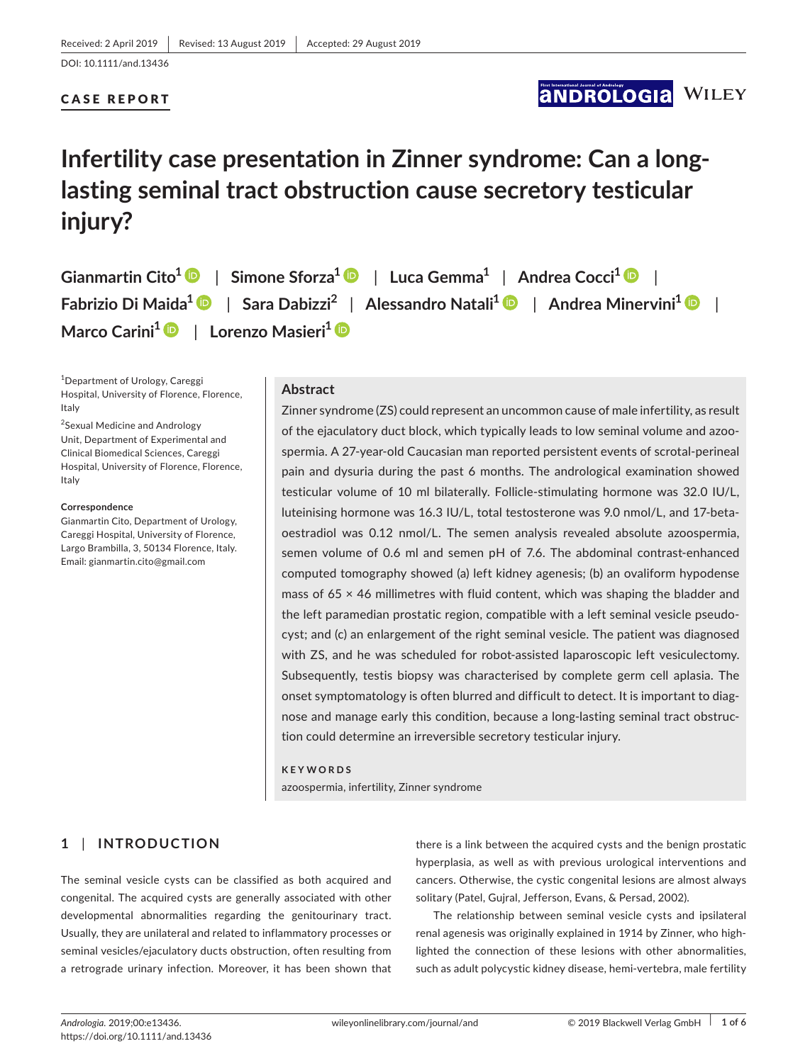### CASE REPORT

## **ANDROLOGIA WILEY**

# **Infertility case presentation in Zinner syndrome: Can a long‐ lasting seminal tract obstruction cause secretory testicular injury?**

**Gianmartin Cito<sup>1</sup>** | **Simone Sforza<sup>1</sup>** | **Luca Gemma<sup>1</sup>** | **Andrea Cocci<sup>1</sup>** | **Fabrizio Di Maida<sup>1</sup>** | **Sara Dabizzi<sup>2</sup>** | **Alessandro Natali<sup>1</sup>** | **Andrea Minervini<sup>1</sup>** | **Marco Carini<sup>1</sup>** | **Lorenzo Masieri<sup>1</sup>**

1 Department of Urology, Careggi Hospital, University of Florence, Florence, Italy

<sup>2</sup>Sexual Medicine and Andrology Unit, Department of Experimental and Clinical Biomedical Sciences, Careggi Hospital, University of Florence, Florence, Italy

### **Correspondence**

Gianmartin Cito, Department of Urology, Careggi Hospital, University of Florence, Largo Brambilla, 3, 50134 Florence, Italy. Email: gianmartin.cito@gmail.com

### **Abstract**

Zinner syndrome (ZS) could represent an uncommon cause of male infertility, as result of the ejaculatory duct block, which typically leads to low seminal volume and azoo‐ spermia. A 27‐year‐old Caucasian man reported persistent events of scrotal‐perineal pain and dysuria during the past 6 months. The andrological examination showed testicular volume of 10 ml bilaterally. Follicle‐stimulating hormone was 32.0 IU/L, luteinising hormone was 16.3 IU/L, total testosterone was 9.0 nmol/L, and 17‐beta‐ oestradiol was 0.12 nmol/L. The semen analysis revealed absolute azoospermia, semen volume of 0.6 ml and semen pH of 7.6. The abdominal contrast-enhanced computed tomography showed (a) left kidney agenesis; (b) an ovaliform hypodense mass of  $65 \times 46$  millimetres with fluid content, which was shaping the bladder and the left paramedian prostatic region, compatible with a left seminal vesicle pseudo‐ cyst; and (c) an enlargement of the right seminal vesicle. The patient was diagnosed with ZS, and he was scheduled for robot-assisted laparoscopic left vesiculectomy. Subsequently, testis biopsy was characterised by complete germ cell aplasia. The onset symptomatology is often blurred and difficult to detect. It is important to diag‐ nose and manage early this condition, because a long‐lasting seminal tract obstruc‐ tion could determine an irreversible secretory testicular injury.

### **KEYWORDS**

azoospermia, infertility, Zinner syndrome

### **1** | **INTRODUCTION**

The seminal vesicle cysts can be classified as both acquired and congenital. The acquired cysts are generally associated with other developmental abnormalities regarding the genitourinary tract. Usually, they are unilateral and related to inflammatory processes or seminal vesicles/ejaculatory ducts obstruction, often resulting from a retrograde urinary infection. Moreover, it has been shown that there is a link between the acquired cysts and the benign prostatic hyperplasia, as well as with previous urological interventions and cancers. Otherwise, the cystic congenital lesions are almost always solitary (Patel, Gujral, Jefferson, Evans, & Persad, 2002).

The relationship between seminal vesicle cysts and ipsilateral renal agenesis was originally explained in 1914 by Zinner, who high‐ lighted the connection of these lesions with other abnormalities, such as adult polycystic kidney disease, hemi‐vertebra, male fertility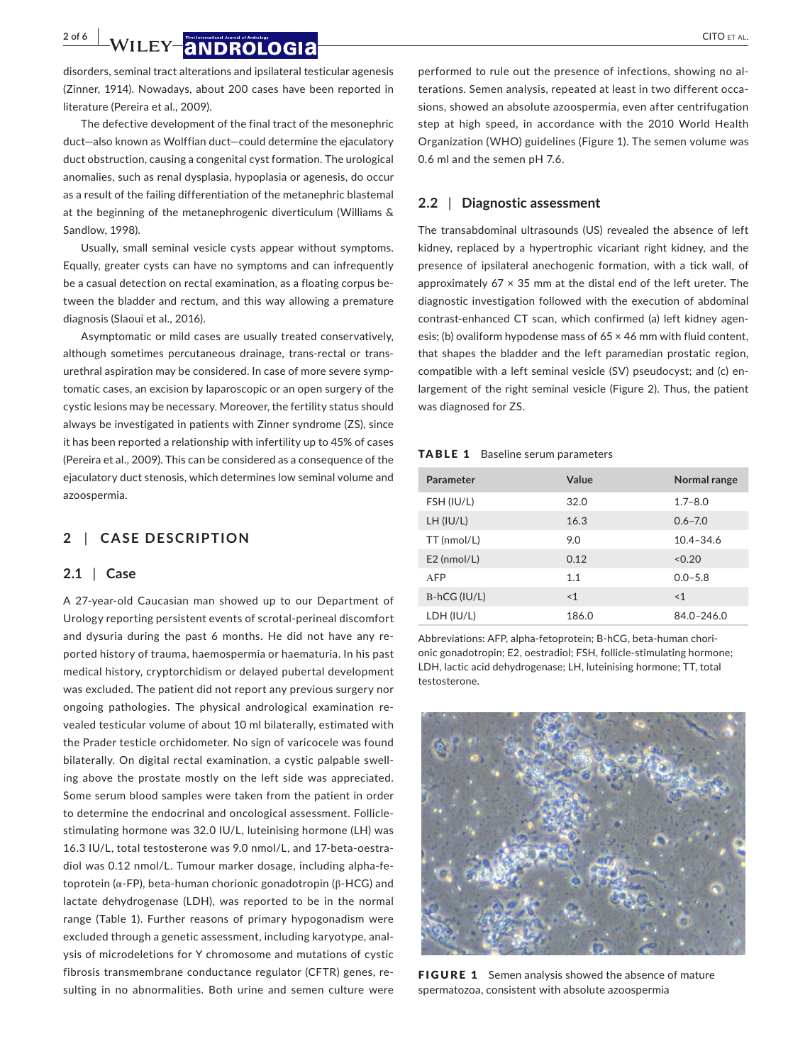**2 of 6 | WILEY |ANDROLOGIA** CITO ET AL.

disorders, seminal tract alterations and ipsilateral testicular agenesis (Zinner, 1914). Nowadays, about 200 cases have been reported in literature (Pereira et al., 2009).

The defective development of the final tract of the mesonephric duct—also known as Wolffian duct—could determine the ejaculatory duct obstruction, causing a congenital cyst formation. The urological anomalies, such as renal dysplasia, hypoplasia or agenesis, do occur as a result of the failing differentiation of the metanephric blastemal at the beginning of the metanephrogenic diverticulum (Williams & Sandlow, 1998).

Usually, small seminal vesicle cysts appear without symptoms. Equally, greater cysts can have no symptoms and can infrequently be a casual detection on rectal examination, as a floating corpus be‐ tween the bladder and rectum, and this way allowing a premature diagnosis (Slaoui et al., 2016).

Asymptomatic or mild cases are usually treated conservatively, although sometimes percutaneous drainage, trans‐rectal or trans‐ urethral aspiration may be considered. In case of more severe symp‐ tomatic cases, an excision by laparoscopic or an open surgery of the cystic lesions may be necessary. Moreover, the fertility status should always be investigated in patients with Zinner syndrome (ZS), since it has been reported a relationship with infertility up to 45% of cases (Pereira et al., 2009). This can be considered as a consequence of the ejaculatory duct stenosis, which determines low seminal volume and azoospermia.

### **2** | **CASE DESCRIPTION**

### **2.1** | **Case**

A 27‐year‐old Caucasian man showed up to our Department of Urology reporting persistent events of scrotal‐perineal discomfort and dysuria during the past 6 months. He did not have any re‐ ported history of trauma, haemospermia or haematuria. In his past medical history, cryptorchidism or delayed pubertal development was excluded. The patient did not report any previous surgery nor ongoing pathologies. The physical andrological examination re‐ vealed testicular volume of about 10 ml bilaterally, estimated with the Prader testicle orchidometer. No sign of varicocele was found bilaterally. On digital rectal examination, a cystic palpable swell‐ ing above the prostate mostly on the left side was appreciated. Some serum blood samples were taken from the patient in order to determine the endocrinal and oncological assessment. Follicle‐ stimulating hormone was 32.0 IU/L, luteinising hormone (LH) was 16.3 IU/L, total testosterone was 9.0 nmol/L, and 17‐beta‐oestra‐ diol was 0.12 nmol/L. Tumour marker dosage, including alpha‐fe‐ toprotein (α‐FP), beta‐human chorionic gonadotropin (β‐HCG) and lactate dehydrogenase (LDH), was reported to be in the normal range (Table 1). Further reasons of primary hypogonadism were excluded through a genetic assessment, including karyotype, anal‐ ysis of microdeletions for Y chromosome and mutations of cystic fibrosis transmembrane conductance regulator (CFTR) genes, re‐ sulting in no abnormalities. Both urine and semen culture were

performed to rule out the presence of infections, showing no al‐ terations. Semen analysis, repeated at least in two different occa‐ sions, showed an absolute azoospermia, even after centrifugation step at high speed, in accordance with the 2010 World Health Organization (WHO) guidelines (Figure 1). The semen volume was 0.6 ml and the semen pH 7.6.

### **2.2** | **Diagnostic assessment**

The transabdominal ultrasounds (US) revealed the absence of left kidney, replaced by a hypertrophic vicariant right kidney, and the presence of ipsilateral anechogenic formation, with a tick wall, of approximately  $67 \times 35$  mm at the distal end of the left ureter. The diagnostic investigation followed with the execution of abdominal contrast-enhanced CT scan, which confirmed (a) left kidney agenesis; (b) ovaliform hypodense mass of  $65 \times 46$  mm with fluid content, that shapes the bladder and the left paramedian prostatic region, compatible with a left seminal vesicle (SV) pseudocyst; and (c) en‐ largement of the right seminal vesicle (Figure 2). Thus, the patient was diagnosed for ZS.

### TABLE 1 Baseline serum parameters

| Parameter      | Value | Normal range   |
|----------------|-------|----------------|
| FSH (IU/L)     | 32.0  | $1.7 - 8.0$    |
| LH (IU/L)      | 16.3  | $0.6 - 7.0$    |
| TT (nmol/L)    | 9.0   | $10.4 - 34.6$  |
| $E2$ (nmol/L)  | 0.12  | < 0.20         |
| <b>AFP</b>     | 1.1   | $0.0 - 5.8$    |
| $B-hCG (IU/L)$ | < 1   | <1             |
| LDH (IU/L)     | 186.0 | $84.0 - 246.0$ |

Abbreviations: AFP, alpha‐fetoprotein; B‐hCG, beta‐human chori‐ onic gonadotropin; E2, oestradiol; FSH, follicle‐stimulating hormone; LDH, lactic acid dehydrogenase; LH, luteinising hormone; TT, total testosterone.



FIGURE 1 Semen analysis showed the absence of mature spermatozoa, consistent with absolute azoospermia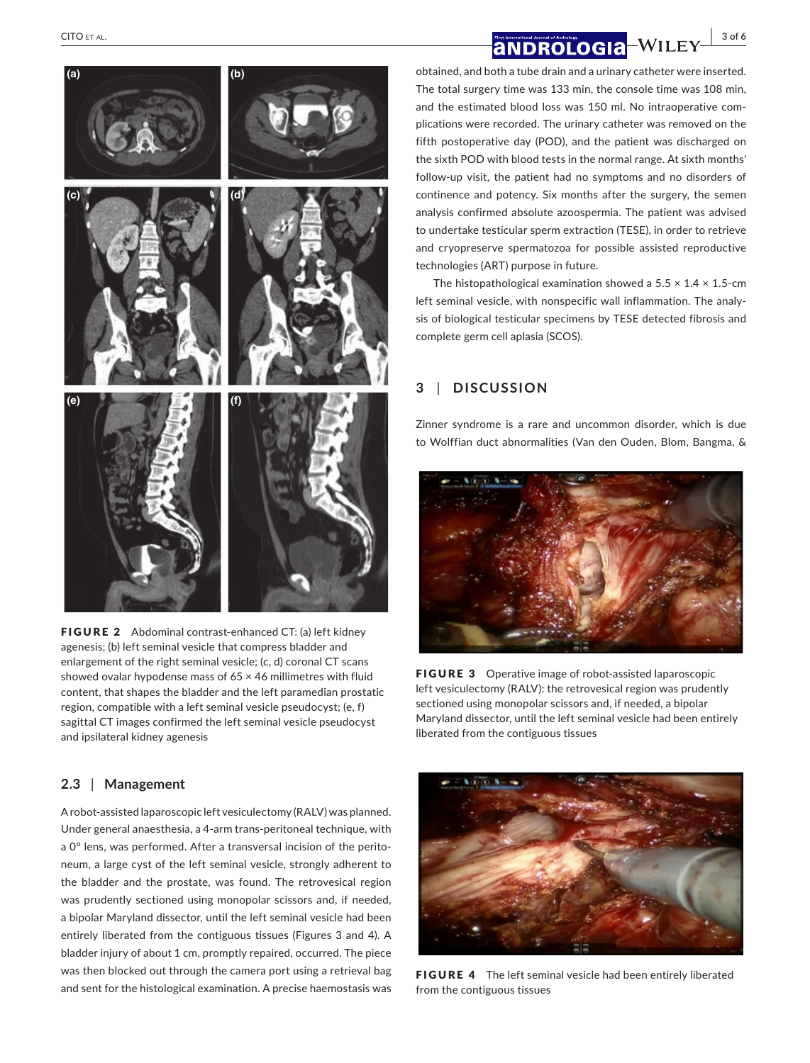# **(a) (b) (c) (d) (e) (f)**

FIGURE 2 Abdominal contrast-enhanced CT: (a) left kidney agenesis; (b) left seminal vesicle that compress bladder and enlargement of the right seminal vesicle; (c, d) coronal CT scans showed ovalar hypodense mass of 65 × 46 millimetres with fluid content, that shapes the bladder and the left paramedian prostatic region, compatible with a left seminal vesicle pseudocyst; (e, f) sagittal CT images confirmed the left seminal vesicle pseudocyst and ipsilateral kidney agenesis

### **2.3** | **Management**

A robot‐assisted laparoscopic left vesiculectomy (RALV) was planned. Under general anaesthesia, a 4‐arm trans‐peritoneal technique, with a 0° lens, was performed. After a transversal incision of the peritoneum, a large cyst of the left seminal vesicle, strongly adherent to the bladder and the prostate, was found. The retrovesical region was prudently sectioned using monopolar scissors and, if needed, a bipolar Maryland dissector, until the left seminal vesicle had been entirely liberated from the contiguous tissues (Figures 3 and 4). A bladder injury of about 1 cm, promptly repaired, occurred. The piece was then blocked out through the camera port using a retrieval bag and sent for the histological examination. A precise haemostasis was

obtained, and both a tube drain and a urinary catheter were inserted. The total surgery time was 133 min, the console time was 108 min, and the estimated blood loss was 150 ml. No intraoperative com‐ plications were recorded. The urinary catheter was removed on the fifth postoperative day (POD), and the patient was discharged on the sixth POD with blood tests in the normal range. At sixth months' follow‐up visit, the patient had no symptoms and no disorders of continence and potency. Six months after the surgery, the semen analysis confirmed absolute azoospermia. The patient was advised to undertake testicular sperm extraction (TESE), in order to retrieve and cryopreserve spermatozoa for possible assisted reproductive technologies (ART) purpose in future.

The histopathological examination showed a  $5.5 \times 1.4 \times 1.5$ -cm left seminal vesicle, with nonspecific wall inflammation. The analy‐ sis of biological testicular specimens by TESE detected fibrosis and complete germ cell aplasia (SCOS).

### **3** | **DISCUSSION**

Zinner syndrome is a rare and uncommon disorder, which is due to Wolffian duct abnormalities (Van den Ouden, Blom, Bangma, &



FIGURE 3 Operative image of robot-assisted laparoscopic left vesiculectomy (RALV): the retrovesical region was prudently sectioned using monopolar scissors and, if needed, a bipolar Maryland dissector, until the left seminal vesicle had been entirely liberated from the contiguous tissues



FIGURE 4 The left seminal vesicle had been entirely liberated from the contiguous tissues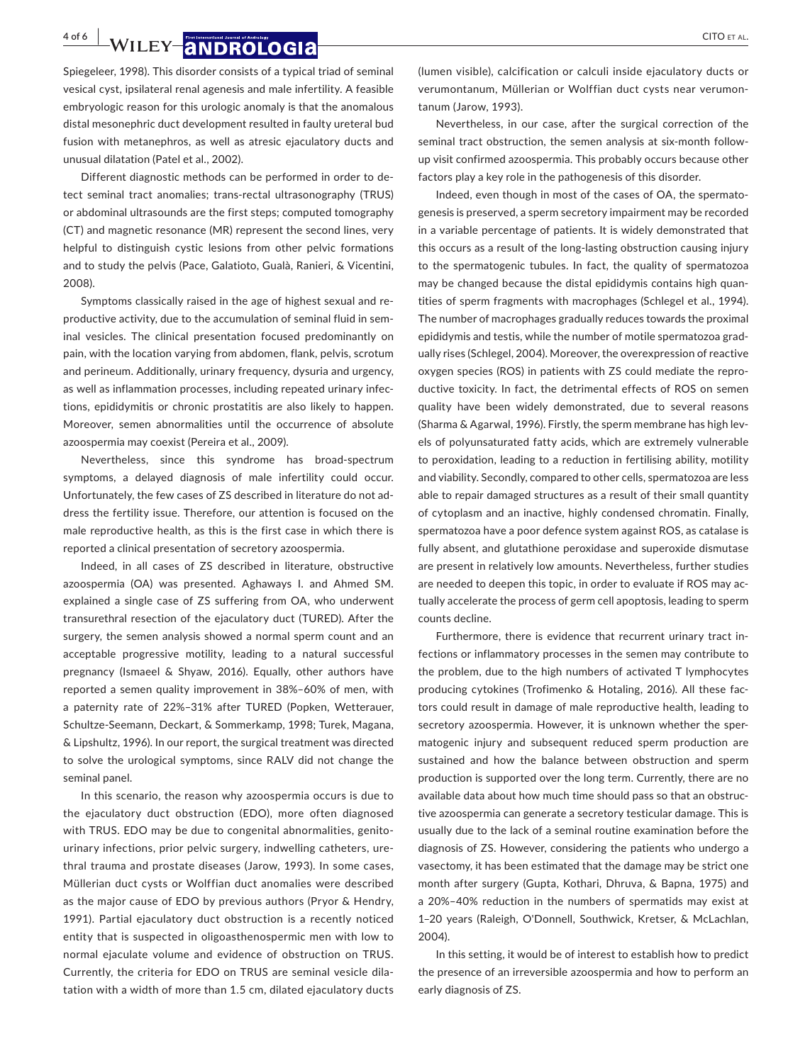**4 of 6 | WILEY |ANDROLOGIA** *CITO ET AL.* 

Spiegeleer, 1998). This disorder consists of a typical triad of seminal vesical cyst, ipsilateral renal agenesis and male infertility. A feasible embryologic reason for this urologic anomaly is that the anomalous distal mesonephric duct development resulted in faulty ureteral bud fusion with metanephros, as well as atresic ejaculatory ducts and unusual dilatation (Patel et al., 2002).

Different diagnostic methods can be performed in order to de‐ tect seminal tract anomalies; trans‐rectal ultrasonography (TRUS) or abdominal ultrasounds are the first steps; computed tomography (CT) and magnetic resonance (MR) represent the second lines, very helpful to distinguish cystic lesions from other pelvic formations and to study the pelvis (Pace, Galatioto, Gualà, Ranieri, & Vicentini, 2008).

Symptoms classically raised in the age of highest sexual and re‐ productive activity, due to the accumulation of seminal fluid in seminal vesicles. The clinical presentation focused predominantly on pain, with the location varying from abdomen, flank, pelvis, scrotum and perineum. Additionally, urinary frequency, dysuria and urgency, as well as inflammation processes, including repeated urinary infec‐ tions, epididymitis or chronic prostatitis are also likely to happen. Moreover, semen abnormalities until the occurrence of absolute azoospermia may coexist (Pereira et al., 2009).

Nevertheless, since this syndrome has broad‐spectrum symptoms, a delayed diagnosis of male infertility could occur. Unfortunately, the few cases of ZS described in literature do not ad‐ dress the fertility issue. Therefore, our attention is focused on the male reproductive health, as this is the first case in which there is reported a clinical presentation of secretory azoospermia.

Indeed, in all cases of ZS described in literature, obstructive azoospermia (OA) was presented. Aghaways I. and Ahmed SM. explained a single case of ZS suffering from OA, who underwent transurethral resection of the ejaculatory duct (TURED). After the surgery, the semen analysis showed a normal sperm count and an acceptable progressive motility, leading to a natural successful pregnancy (Ismaeel & Shyaw, 2016). Equally, other authors have reported a semen quality improvement in 38%–60% of men, with a paternity rate of 22%–31% after TURED (Popken, Wetterauer, Schultze‐Seemann, Deckart, & Sommerkamp, 1998; Turek, Magana, & Lipshultz, 1996). In our report, the surgical treatment was directed to solve the urological symptoms, since RALV did not change the seminal panel.

In this scenario, the reason why azoospermia occurs is due to the ejaculatory duct obstruction (EDO), more often diagnosed with TRUS. EDO may be due to congenital abnormalities, genitourinary infections, prior pelvic surgery, indwelling catheters, ure‐ thral trauma and prostate diseases (Jarow, 1993). In some cases, Müllerian duct cysts or Wolffian duct anomalies were described as the major cause of EDO by previous authors (Pryor & Hendry, 1991). Partial ejaculatory duct obstruction is a recently noticed entity that is suspected in oligoasthenospermic men with low to normal ejaculate volume and evidence of obstruction on TRUS. Currently, the criteria for EDO on TRUS are seminal vesicle dila‐ tation with a width of more than 1.5 cm, dilated ejaculatory ducts

Nevertheless, in our case, after the surgical correction of the seminal tract obstruction, the semen analysis at six-month followup visit confirmed azoospermia. This probably occurs because other factors play a key role in the pathogenesis of this disorder.

Indeed, even though in most of the cases of OA, the spermato‐ genesis is preserved, a sperm secretory impairment may be recorded in a variable percentage of patients. It is widely demonstrated that this occurs as a result of the long‐lasting obstruction causing injury to the spermatogenic tubules. In fact, the quality of spermatozoa may be changed because the distal epididymis contains high quan‐ tities of sperm fragments with macrophages (Schlegel et al., 1994). The number of macrophages gradually reduces towards the proximal epididymis and testis, while the number of motile spermatozoa grad‐ ually rises (Schlegel, 2004). Moreover, the overexpression of reactive oxygen species (ROS) in patients with ZS could mediate the repro‐ ductive toxicity. In fact, the detrimental effects of ROS on semen quality have been widely demonstrated, due to several reasons (Sharma & Agarwal, 1996). Firstly, the sperm membrane has high lev‐ els of polyunsaturated fatty acids, which are extremely vulnerable to peroxidation, leading to a reduction in fertilising ability, motility and viability. Secondly, compared to other cells, spermatozoa are less able to repair damaged structures as a result of their small quantity of cytoplasm and an inactive, highly condensed chromatin. Finally, spermatozoa have a poor defence system against ROS, as catalase is fully absent, and glutathione peroxidase and superoxide dismutase are present in relatively low amounts. Nevertheless, further studies are needed to deepen this topic, in order to evaluate if ROS may actually accelerate the process of germ cell apoptosis, leading to sperm counts decline.

Furthermore, there is evidence that recurrent urinary tract in‐ fections or inflammatory processes in the semen may contribute to the problem, due to the high numbers of activated T lymphocytes producing cytokines (Trofimenko & Hotaling, 2016). All these fac‐ tors could result in damage of male reproductive health, leading to secretory azoospermia. However, it is unknown whether the spermatogenic injury and subsequent reduced sperm production are sustained and how the balance between obstruction and sperm production is supported over the long term. Currently, there are no available data about how much time should pass so that an obstruc‐ tive azoospermia can generate a secretory testicular damage. This is usually due to the lack of a seminal routine examination before the diagnosis of ZS. However, considering the patients who undergo a vasectomy, it has been estimated that the damage may be strict one month after surgery (Gupta, Kothari, Dhruva, & Bapna, 1975) and a 20%–40% reduction in the numbers of spermatids may exist at 1–20 years (Raleigh, O'Donnell, Southwick, Kretser, & McLachlan, 2004).

In this setting, it would be of interest to establish how to predict the presence of an irreversible azoospermia and how to perform an early diagnosis of ZS.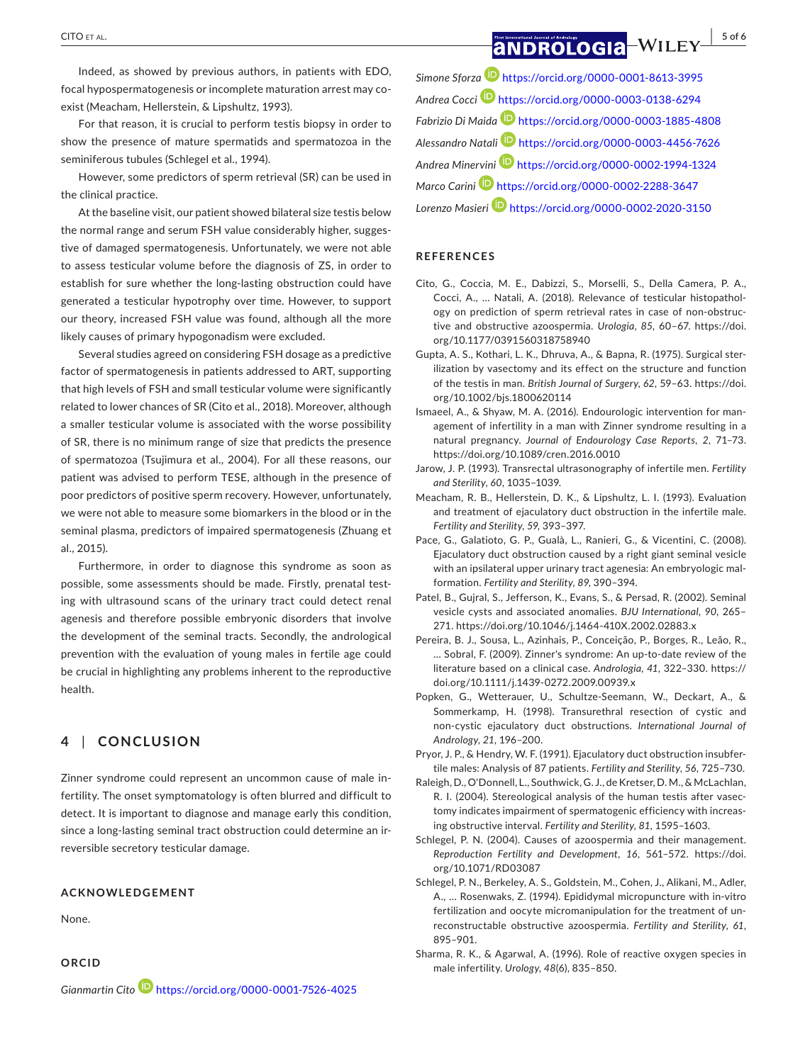Indeed, as showed by previous authors, in patients with EDO, focal hypospermatogenesis or incomplete maturation arrest may co‐ exist (Meacham, Hellerstein, & Lipshultz, 1993).

For that reason, it is crucial to perform testis biopsy in order to show the presence of mature spermatids and spermatozoa in the seminiferous tubules (Schlegel et al., 1994).

However, some predictors of sperm retrieval (SR) can be used in the clinical practice.

At the baseline visit, our patient showed bilateral size testis below the normal range and serum FSH value considerably higher, sugges‐ tive of damaged spermatogenesis. Unfortunately, we were not able to assess testicular volume before the diagnosis of ZS, in order to establish for sure whether the long‐lasting obstruction could have generated a testicular hypotrophy over time. However, to support our theory, increased FSH value was found, although all the more likely causes of primary hypogonadism were excluded.

Several studies agreed on considering FSH dosage as a predictive factor of spermatogenesis in patients addressed to ART, supporting that high levels of FSH and small testicular volume were significantly related to lower chances of SR (Cito et al., 2018). Moreover, although a smaller testicular volume is associated with the worse possibility of SR, there is no minimum range of size that predicts the presence of spermatozoa (Tsujimura et al., 2004). For all these reasons, our patient was advised to perform TESE, although in the presence of poor predictors of positive sperm recovery. However, unfortunately, we were not able to measure some biomarkers in the blood or in the seminal plasma, predictors of impaired spermatogenesis (Zhuang et al., 2015).

Furthermore, in order to diagnose this syndrome as soon as possible, some assessments should be made. Firstly, prenatal testing with ultrasound scans of the urinary tract could detect renal agenesis and therefore possible embryonic disorders that involve the development of the seminal tracts. Secondly, the andrological prevention with the evaluation of young males in fertile age could be crucial in highlighting any problems inherent to the reproductive health.

### **4** | **CONCLUSION**

Zinner syndrome could represent an uncommon cause of male in‐ fertility. The onset symptomatology is often blurred and difficult to detect. It is important to diagnose and manage early this condition, since a long-lasting seminal tract obstruction could determine an irreversible secretory testicular damage.

### **ACKNOWLEDGEMENT**

None.

### **ORCID**

*Gianmartin Cito* https://orcid.org/0000-0001-7526-4025

*Simone Sforza* https://orcid.org/0000-0001-8613-3995 *Andrea Cocci* https://orcid.org/0000-0003-0138-6294 *Fabrizio Di Maida* https://orcid.org/0000-0003-1885-4808

*Alessandro Natali* https://orcid.org/0000-0003-4456-7626 *Andrea Minervini* https://orcid.org/0000-0002-1994-1324

*Marco Carini* https://orcid.org/0000-0002-2288-3647

*Lorenzo Masieri* https://orcid.org/0000-0002-2020-3150

### **REFERENCES**

- Cito, G., Coccia, M. E., Dabizzi, S., Morselli, S., Della Camera, P. A., Cocci, A., … Natali, A. (2018). Relevance of testicular histopathol‐ ogy on prediction of sperm retrieval rates in case of non‐obstruc‐ tive and obstructive azoospermia. *Urologia*, *85*, 60–67. https://doi. org/10.1177/0391560318758940
- Gupta, A. S., Kothari, L. K., Dhruva, A., & Bapna, R. (1975). Surgical ster‐ ilization by vasectomy and its effect on the structure and function of the testis in man. *British Journal of Surgery*, *62*, 59–63. https://doi. org/10.1002/bjs.1800620114
- Ismaeel, A., & Shyaw, M. A. (2016). Endourologic intervention for man‐ agement of infertility in a man with Zinner syndrome resulting in a natural pregnancy. *Journal of Endourology Case Reports*, *2*, 71–73. https://doi.org/10.1089/cren.2016.0010
- Jarow, J. P. (1993). Transrectal ultrasonography of infertile men. *Fertility and Sterility*, *60*, 1035–1039.
- Meacham, R. B., Hellerstein, D. K., & Lipshultz, L. I. (1993). Evaluation and treatment of ejaculatory duct obstruction in the infertile male. *Fertility and Sterility*, *59*, 393–397.
- Pace, G., Galatioto, G. P., Gualà, L., Ranieri, G., & Vicentini, C. (2008). Ejaculatory duct obstruction caused by a right giant seminal vesicle with an ipsilateral upper urinary tract agenesia: An embryologic mal‐ formation. *Fertility and Sterility*, *89*, 390–394.
- Patel, B., Gujral, S., Jefferson, K., Evans, S., & Persad, R. (2002). Seminal vesicle cysts and associated anomalies. *BJU International*, *90*, 265– 271. https://doi.org/10.1046/j.1464-410X.2002.02883.x
- Pereira, B. J., Sousa, L., Azinhais, P., Conceição, P., Borges, R., Leão, R., … Sobral, F. (2009). Zinner's syndrome: An up‐to‐date review of the literature based on a clinical case. *Andrologia*, *41*, 322–330. https:// doi.org/10.1111/j.1439-0272.2009.00939.x
- Popken, G., Wetterauer, U., Schultze‐Seemann, W., Deckart, A., & Sommerkamp, H. (1998). Transurethral resection of cystic and non‐cystic ejaculatory duct obstructions. *International Journal of Andrology*, *21*, 196–200.
- Pryor, J. P., & Hendry, W. F. (1991). Ejaculatory duct obstruction insubfer‐ tile males: Analysis of 87 patients. *Fertility and Sterility*, *56*, 725–730.
- Raleigh, D., O'Donnell, L., Southwick, G. J., de Kretser, D. M., & McLachlan, R. I. (2004). Stereological analysis of the human testis after vasec‐ tomy indicates impairment of spermatogenic efficiency with increas‐ ing obstructive interval. *Fertility and Sterility*, *81*, 1595–1603.
- Schlegel, P. N. (2004). Causes of azoospermia and their management. *Reproduction Fertility and Development*, *16*, 561–572. https://doi. org/10.1071/RD03087
- Schlegel, P. N., Berkeley, A. S., Goldstein, M., Cohen, J., Alikani, M., Adler, A., … Rosenwaks, Z. (1994). Epididymal micropuncture with in‐vitro fertilization and oocyte micromanipulation for the treatment of un‐ reconstructable obstructive azoospermia. *Fertility and Sterility*, *61*, 895–901.
- Sharma, R. K., & Agarwal, A. (1996). Role of reactive oxygen species in male infertility. *Urology*, *48*(6), 835–850.